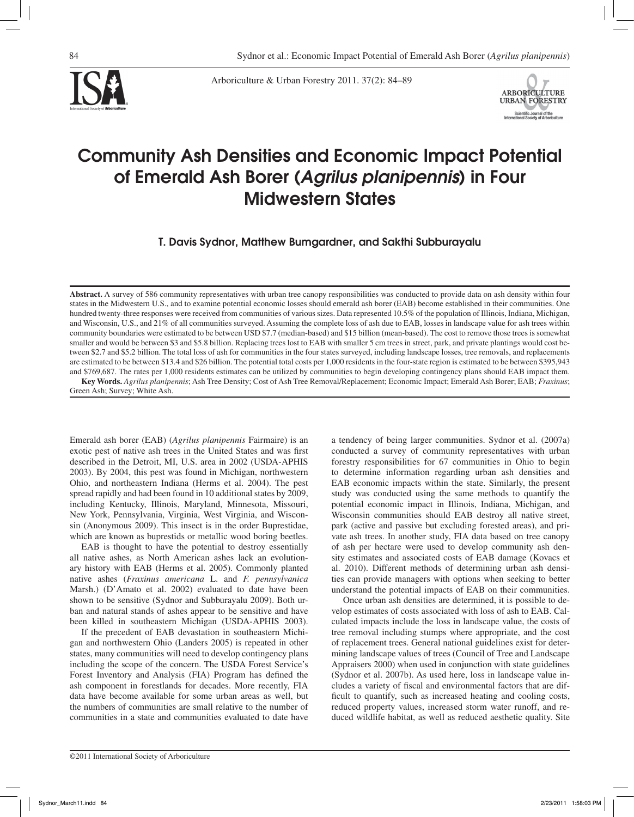

Arboriculture & Urban Forestry 2011. 37(2): 84–89



# Community Ash Densities and Economic Impact Potential of Emerald Ash Borer (*Agrilus planipennis*) in Four Midwestern States

T. Davis Sydnor, Matthew Bumgardner, and Sakthi Subburayalu

**Abstract.** A survey of 586 community representatives with urban tree canopy responsibilities was conducted to provide data on ash density within four states in the Midwestern U.S., and to examine potential economic losses should emerald ash borer (EAB) become established in their communities. One hundred twenty-three responses were received from communities of various sizes. Data represented 10.5% of the population of Illinois, Indiana, Michigan, and Wisconsin, U.S., and 21% of all communities surveyed. Assuming the complete loss of ash due to EAB, losses in landscape value for ash trees within community boundaries were estimated to be between USD \$7.7 (median-based) and \$15 billion (mean-based). The cost to remove those trees is somewhat smaller and would be between \$3 and \$5.8 billion. Replacing trees lost to EAB with smaller 5 cm trees in street, park, and private plantings would cost between \$2.7 and \$5.2 billion. The total loss of ash for communities in the four states surveyed, including landscape losses, tree removals, and replacements are estimated to be between \$13.4 and \$26 billion. The potential total costs per 1,000 residents in the four-state region is estimated to be between \$395,943 and \$769,687. The rates per 1,000 residents estimates can be utilized by communities to begin developing contingency plans should EAB impact them. **Key Words.** *Agrilus planipennis*; Ash Tree Density; Cost of Ash Tree Removal/Replacement; Economic Impact; Emerald Ash Borer; EAB; *Fraxinus*;

Green Ash; Survey; White Ash.

Emerald ash borer (EAB) (*Agrilus planipennis* Fairmaire) is an exotic pest of native ash trees in the United States and was first described in the Detroit, MI, U.S. area in 2002 (USDA-APHIS 2003). By 2004, this pest was found in Michigan, northwestern Ohio, and northeastern Indiana (Herms et al. 2004). The pest spread rapidly and had been found in 10 additional states by 2009, including Kentucky, Illinois, Maryland, Minnesota, Missouri, New York, Pennsylvania, Virginia, West Virginia, and Wisconsin (Anonymous 2009). This insect is in the order Buprestidae, which are known as buprestids or metallic wood boring beetles.

EAB is thought to have the potential to destroy essentially all native ashes, as North American ashes lack an evolutionary history with EAB (Herms et al. 2005). Commonly planted native ashes (*Fraxinus americana* L. and *F. pennsylvanica*  Marsh.) (D'Amato et al. 2002) evaluated to date have been shown to be sensitive (Sydnor and Subburayalu 2009). Both urban and natural stands of ashes appear to be sensitive and have been killed in southeastern Michigan (USDA-APHIS 2003).

If the precedent of EAB devastation in southeastern Michigan and northwestern Ohio (Landers 2005) is repeated in other states, many communities will need to develop contingency plans including the scope of the concern. The USDA Forest Service's Forest Inventory and Analysis (FIA) Program has defined the ash component in forestlands for decades. More recently, FIA data have become available for some urban areas as well, but the numbers of communities are small relative to the number of communities in a state and communities evaluated to date have a tendency of being larger communities. Sydnor et al. (2007a) conducted a survey of community representatives with urban forestry responsibilities for 67 communities in Ohio to begin to determine information regarding urban ash densities and EAB economic impacts within the state. Similarly, the present study was conducted using the same methods to quantify the potential economic impact in Illinois, Indiana, Michigan, and Wisconsin communities should EAB destroy all native street, park (active and passive but excluding forested areas), and private ash trees. In another study, FIA data based on tree canopy of ash per hectare were used to develop community ash density estimates and associated costs of EAB damage (Kovacs et al. 2010). Different methods of determining urban ash densities can provide managers with options when seeking to better understand the potential impacts of EAB on their communities.

Once urban ash densities are determined, it is possible to develop estimates of costs associated with loss of ash to EAB. Calculated impacts include the loss in landscape value, the costs of tree removal including stumps where appropriate, and the cost of replacement trees. General national guidelines exist for determining landscape values of trees (Council of Tree and Landscape Appraisers 2000) when used in conjunction with state guidelines (Sydnor et al. 2007b). As used here, loss in landscape value includes a variety of fiscal and environmental factors that are difficult to quantify, such as increased heating and cooling costs, reduced property values, increased storm water runoff, and reduced wildlife habitat, as well as reduced aesthetic quality. Site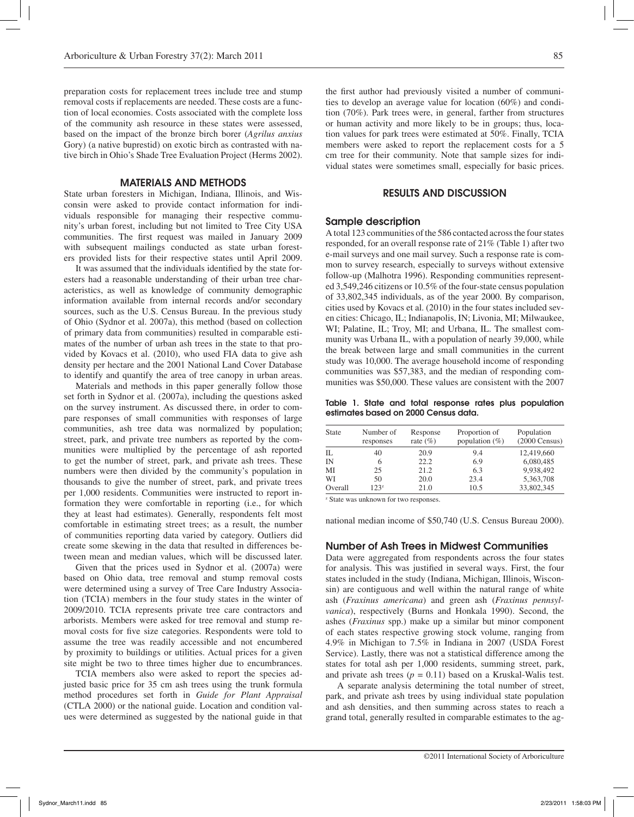preparation costs for replacement trees include tree and stump removal costs if replacements are needed. These costs are a function of local economies. Costs associated with the complete loss of the community ash resource in these states were assessed, based on the impact of the bronze birch borer (*Agrilus anxius*  Gory) (a native buprestid) on exotic birch as contrasted with native birch in Ohio's Shade Tree Evaluation Project (Herms 2002).

## MATERIALS AND METHODS

State urban foresters in Michigan, Indiana, Illinois, and Wisconsin were asked to provide contact information for individuals responsible for managing their respective community's urban forest, including but not limited to Tree City USA communities. The first request was mailed in January 2009 with subsequent mailings conducted as state urban foresters provided lists for their respective states until April 2009.

It was assumed that the individuals identified by the state foresters had a reasonable understanding of their urban tree characteristics, as well as knowledge of community demographic information available from internal records and/or secondary sources, such as the U.S. Census Bureau. In the previous study of Ohio (Sydnor et al. 2007a), this method (based on collection of primary data from communities) resulted in comparable estimates of the number of urban ash trees in the state to that provided by Kovacs et al. (2010), who used FIA data to give ash density per hectare and the 2001 National Land Cover Database to identify and quantify the area of tree canopy in urban areas.

Materials and methods in this paper generally follow those set forth in Sydnor et al. (2007a), including the questions asked on the survey instrument. As discussed there, in order to compare responses of small communities with responses of large communities, ash tree data was normalized by population; street, park, and private tree numbers as reported by the communities were multiplied by the percentage of ash reported to get the number of street, park, and private ash trees. These numbers were then divided by the community's population in thousands to give the number of street, park, and private trees per 1,000 residents. Communities were instructed to report information they were comfortable in reporting (i.e., for which they at least had estimates). Generally, respondents felt most comfortable in estimating street trees; as a result, the number of communities reporting data varied by category. Outliers did create some skewing in the data that resulted in differences between mean and median values, which will be discussed later.

Given that the prices used in Sydnor et al. (2007a) were based on Ohio data, tree removal and stump removal costs were determined using a survey of Tree Care Industry Association (TCIA) members in the four study states in the winter of 2009/2010. TCIA represents private tree care contractors and arborists. Members were asked for tree removal and stump removal costs for five size categories. Respondents were told to assume the tree was readily accessible and not encumbered by proximity to buildings or utilities. Actual prices for a given site might be two to three times higher due to encumbrances.

TCIA members also were asked to report the species adjusted basic price for 35 cm ash trees using the trunk formula method procedures set forth in *Guide for Plant Appraisal* (CTLA 2000) or the national guide. Location and condition values were determined as suggested by the national guide in that

the first author had previously visited a number of communities to develop an average value for location (60%) and condition (70%). Park trees were, in general, farther from structures or human activity and more likely to be in groups; thus, location values for park trees were estimated at 50%. Finally, TCIA members were asked to report the replacement costs for a 5 cm tree for their community. Note that sample sizes for individual states were sometimes small, especially for basic prices.

### RESULTS AND DISCUSSION

#### Sample description

A total 123 communities of the 586 contacted across the four states responded, for an overall response rate of 21% (Table 1) after two e-mail surveys and one mail survey. Such a response rate is common to survey research, especially to surveys without extensive follow-up (Malhotra 1996). Responding communities represented 3,549,246 citizens or 10.5% of the four-state census population of 33,802,345 individuals, as of the year 2000. By comparison, cities used by Kovacs et al. (2010) in the four states included seven cities: Chicago, IL; Indianapolis, IN; Livonia, MI; Milwaukee, WI; Palatine, IL; Troy, MI; and Urbana, IL. The smallest community was Urbana IL, with a population of nearly 39,000, while the break between large and small communities in the current study was 10,000. The average household income of responding communities was \$57,383, and the median of responding communities was \$50,000. These values are consistent with the 2007

Table 1. State and total response rates plus population estimates based on 2000 Census data.

| <b>State</b> | Number of<br>responses | Response<br>rate $(\% )$ | Proportion of<br>population $(\%)$ | Population<br>$(2000 \text{ Census})$ |
|--------------|------------------------|--------------------------|------------------------------------|---------------------------------------|
| П.           | 40                     | 20.9                     | 9.4                                | 12,419,660                            |
| IN           | 6                      | 22.2                     | 6.9                                | 6,080,485                             |
| МI           | 25                     | 21.2                     | 6.3                                | 9,938,492                             |
| WI           | 50                     | 20.0                     | 23.4                               | 5,363,708                             |
| Overall      | 123z                   | 21.0                     | 10.5                               | 33,802,345                            |

z State was unknown for two responses.

national median income of \$50,740 (U.S. Census Bureau 2000).

#### Number of Ash Trees in Midwest Communities

Data were aggregated from respondents across the four states for analysis. This was justified in several ways. First, the four states included in the study (Indiana, Michigan, Illinois, Wisconsin) are contiguous and well within the natural range of white ash (*Fraxinus americana*) and green ash (*Fraxinus pennsylvanica*), respectively (Burns and Honkala 1990). Second, the ashes (*Fraxinus* spp.) make up a similar but minor component of each states respective growing stock volume, ranging from 4.9% in Michigan to 7.5% in Indiana in 2007 (USDA Forest Service). Lastly, there was not a statistical difference among the states for total ash per 1,000 residents, summing street, park, and private ash trees  $(p = 0.11)$  based on a Kruskal-Walis test.

A separate analysis determining the total number of street, park, and private ash trees by using individual state population and ash densities, and then summing across states to reach a grand total, generally resulted in comparable estimates to the ag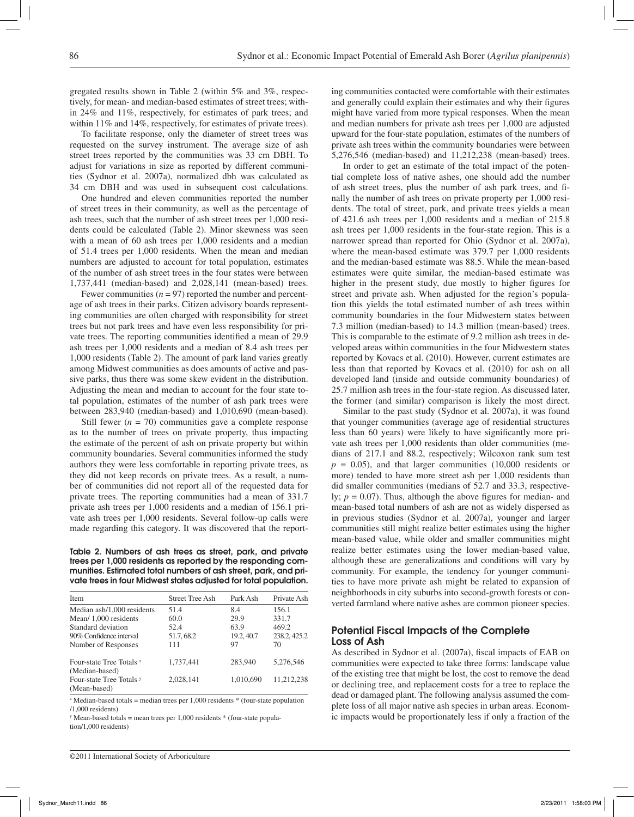gregated results shown in Table 2 (within 5% and 3%, respectively, for mean- and median-based estimates of street trees; within 24% and 11%, respectively, for estimates of park trees; and within 11% and 14%, respectively, for estimates of private trees).

To facilitate response, only the diameter of street trees was requested on the survey instrument. The average size of ash street trees reported by the communities was 33 cm DBH. To adjust for variations in size as reported by different communities (Sydnor et al. 2007a), normalized dbh was calculated as 34 cm DBH and was used in subsequent cost calculations.

One hundred and eleven communities reported the number of street trees in their community, as well as the percentage of ash trees, such that the number of ash street trees per 1,000 residents could be calculated (Table 2). Minor skewness was seen with a mean of 60 ash trees per 1,000 residents and a median of 51.4 trees per 1,000 residents. When the mean and median numbers are adjusted to account for total population, estimates of the number of ash street trees in the four states were between 1,737,441 (median-based) and 2,028,141 (mean-based) trees.

Fewer communities  $(n = 97)$  reported the number and percentage of ash trees in their parks. Citizen advisory boards representing communities are often charged with responsibility for street trees but not park trees and have even less responsibility for private trees. The reporting communities identified a mean of 29.9 ash trees per 1,000 residents and a median of 8.4 ash trees per 1,000 residents (Table 2). The amount of park land varies greatly among Midwest communities as does amounts of active and passive parks, thus there was some skew evident in the distribution. Adjusting the mean and median to account for the four state total population, estimates of the number of ash park trees were between 283,940 (median-based) and 1,010,690 (mean-based).

Still fewer  $(n = 70)$  communities gave a complete response as to the number of trees on private property, thus impacting the estimate of the percent of ash on private property but within community boundaries. Several communities informed the study authors they were less comfortable in reporting private trees, as they did not keep records on private trees. As a result, a number of communities did not report all of the requested data for private trees. The reporting communities had a mean of 331.7 private ash trees per 1,000 residents and a median of 156.1 private ash trees per 1,000 residents. Several follow-up calls were made regarding this category. It was discovered that the report-

Table 2. Numbers of ash trees as street, park, and private trees per 1,000 residents as reported by the responding communities. Estimated total numbers of ash street, park, and private trees in four Midwest states adjusted for total population.

| Item                                                  | <b>Street Tree Ash</b> | Park Ash   | Private Ash  |
|-------------------------------------------------------|------------------------|------------|--------------|
| Median ash/1,000 residents                            | 51.4                   | 8.4        | 156.1        |
| Mean/1,000 residents                                  | 60.0                   | 29.9       | 331.7        |
| Standard deviation                                    | 52.4                   | 63.9       | 469.2        |
| 90% Confidence interval                               | 51.7, 68.2             | 19.2, 40.7 | 238.2, 425.2 |
| Number of Responses                                   | 111                    | 97         | 70           |
| Four-state Tree Totals <sup>2</sup><br>(Median-based) | 1,737,441              | 283,940    | 5,276,546    |
| Four-state Tree Totals <sup>y</sup><br>(Mean-based)   | 2,028,141              | 1,010,690  | 11.212.238   |

 $\alpha$ <sup>z</sup> Median-based totals = median trees per 1,000 residents  $*$  (four-state population /1,000 residents)

 $\gamma$  Mean-based totals = mean trees per 1,000 residents  $*$  (four-state population/1,000 residents)

©2011 International Society of Arboriculture

ing communities contacted were comfortable with their estimates and generally could explain their estimates and why their figures might have varied from more typical responses. When the mean and median numbers for private ash trees per 1,000 are adjusted upward for the four-state population, estimates of the numbers of private ash trees within the community boundaries were between 5,276,546 (median-based) and 11,212,238 (mean-based) trees.

In order to get an estimate of the total impact of the potential complete loss of native ashes, one should add the number of ash street trees, plus the number of ash park trees, and finally the number of ash trees on private property per 1,000 residents. The total of street, park, and private trees yields a mean of 421.6 ash trees per 1,000 residents and a median of 215.8 ash trees per 1,000 residents in the four-state region. This is a narrower spread than reported for Ohio (Sydnor et al. 2007a), where the mean-based estimate was 379.7 per 1,000 residents and the median-based estimate was 88.5. While the mean-based estimates were quite similar, the median-based estimate was higher in the present study, due mostly to higher figures for street and private ash. When adjusted for the region's population this yields the total estimated number of ash trees within community boundaries in the four Midwestern states between 7.3 million (median-based) to 14.3 million (mean-based) trees. This is comparable to the estimate of 9.2 million ash trees in developed areas within communities in the four Midwestern states reported by Kovacs et al. (2010). However, current estimates are less than that reported by Kovacs et al. (2010) for ash on all developed land (inside and outside community boundaries) of 25.7 million ash trees in the four-state region. As discussed later, the former (and similar) comparison is likely the most direct.

Similar to the past study (Sydnor et al. 2007a), it was found that younger communities (average age of residential structures less than 60 years) were likely to have significantly more private ash trees per 1,000 residents than older communities (medians of 217.1 and 88.2, respectively; Wilcoxon rank sum test  $p = 0.05$ ), and that larger communities  $(10,000$  residents or more) tended to have more street ash per 1,000 residents than did smaller communities (medians of 52.7 and 33.3, respectively; *p* = 0.07). Thus, although the above figures for median- and mean-based total numbers of ash are not as widely dispersed as in previous studies (Sydnor et al. 2007a), younger and larger communities still might realize better estimates using the higher mean-based value, while older and smaller communities might realize better estimates using the lower median-based value, although these are generalizations and conditions will vary by community. For example, the tendency for younger communities to have more private ash might be related to expansion of neighborhoods in city suburbs into second-growth forests or converted farmland where native ashes are common pioneer species.

# Potential Fiscal Impacts of the Complete Loss of Ash

As described in Sydnor et al. (2007a), fiscal impacts of EAB on communities were expected to take three forms: landscape value of the existing tree that might be lost, the cost to remove the dead or declining tree, and replacement costs for a tree to replace the dead or damaged plant. The following analysis assumed the complete loss of all major native ash species in urban areas. Economic impacts would be proportionately less if only a fraction of the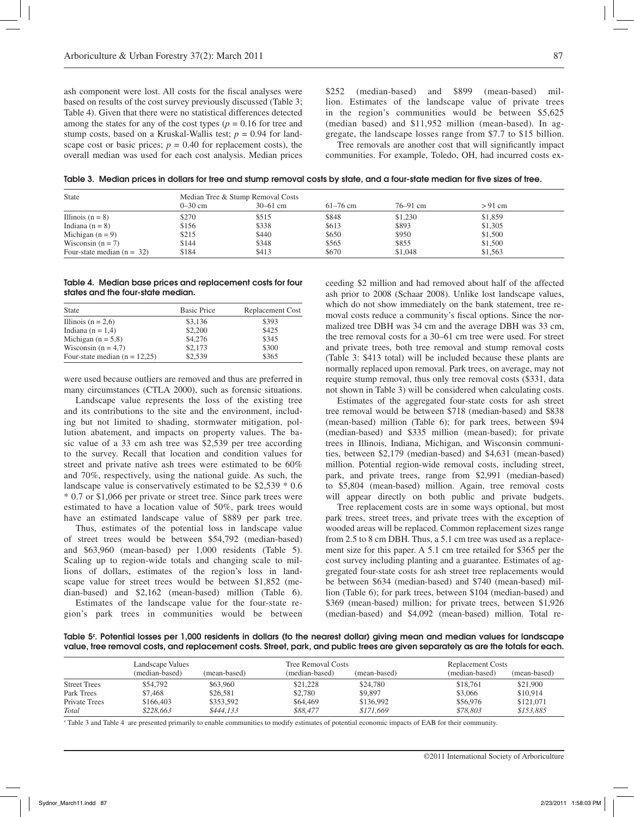ash component were lost. All costs for the fiscal analyses were based on results of the cost survey previously discussed (Table 3; Table 4). Given that there were no statistical differences detected among the states for any of the cost types  $(p = 0.16$  for tree and stump costs, based on a Kruskal-Wallis test;  $p = 0.94$  for landscape cost or basic prices;  $p = 0.40$  for replacement costs), the overall median was used for each cost analysis. Median prices

\$252 (median-based) and \$899 (mean-based) million. Estimates of the landscape value of private trees in the region's communities would be between \$5,625 (median based) and \$11,952 million (mean-based). In aggregate, the landscape losses range from \$7.7 to \$15 billion.

Tree removals are another cost that will significantly impact communities. For example, Toledo, OH, had incurred costs ex-

Table 3. Median prices in dollars for tree and stump removal costs by state, and a four-state median for five sizes of tree.

| <b>State</b>                 | Median Tree & Stump Removal Costs |            |              |              |           |  |  |
|------------------------------|-----------------------------------|------------|--------------|--------------|-----------|--|--|
|                              | $0 - 30$ cm                       | $30-61$ cm | $61 - 76$ cm | $76 - 91$ cm | $> 91$ cm |  |  |
| Illinois $(n = 8)$           | \$270                             | \$515      | \$848        | \$1,230      | \$1,859   |  |  |
| Indiana $(n = 8)$            | \$156                             | \$338      | \$613        | \$893        | \$1,305   |  |  |
| Michigan $(n = 9)$           | \$215                             | \$440      | \$650        | \$950        | \$1,500   |  |  |
| Wisconsin $(n = 7)$          | \$144                             | \$348      | \$565        | \$855        | \$1,500   |  |  |
| Four-state median $(n = 32)$ | \$184                             | \$413      | \$670        | \$1,048      | \$1,563   |  |  |

Table 4. Median base prices and replacement costs for four states and the four-state median.

| <b>State</b>                    | <b>Basic Price</b> | Replacement Cost |
|---------------------------------|--------------------|------------------|
| Illinois $(n = 2.6)$            | \$3,136            | \$393            |
| Indiana ( $n = 1,4$ )           | \$2,200            | \$425            |
| Michigan $(n = 5.8)$            | \$4,276            | \$345            |
| Wisconsin ( $n = 4,7$ )         | \$2,173            | \$300            |
| Four-state median $(n = 12,25)$ | \$2,539            | \$365            |

were used because outliers are removed and thus are preferred in many circumstances (CTLA 2000), such as forensic situations.

Landscape value represents the loss of the existing tree and its contributions to the site and the environment, including but not limited to shading, stormwater mitigation, pollution abatement, and impacts on property values. The basic value of a 33 cm ash tree was \$2,539 per tree according to the survey. Recall that location and condition values for street and private native ash trees were estimated to be 60% and 70%, respectively, using the national guide. As such, the landscape value is conservatively estimated to be \$2,539 \* 0.6 \* 0.7 or \$1,066 per private or street tree. Since park trees were estimated to have a location value of 50%, park trees would have an estimated landscape value of \$889 per park tree.

Thus, estimates of the potential loss in landscape value of street trees would be between \$54,792 (median-based) and \$63,960 (mean-based) per 1,000 residents (Table 5). Scaling up to region-wide totals and changing scale to millions of dollars, estimates of the region's loss in landscape value for street trees would be between \$1,852 (median-based) and \$2,162 (mean-based) million (Table 6).

Estimates of the landscape value for the four-state region's park trees in communities would be between ceeding \$2 million and had removed about half of the affected ash prior to 2008 (Schaar 2008). Unlike lost landscape values, which do not show immediately on the bank statement, tree removal costs reduce a community's fiscal options. Since the normalized tree DBH was 34 cm and the average DBH was 33 cm, the tree removal costs for a 30–61 cm tree were used. For street and private trees, both tree removal and stump removal costs (Table 3: \$413 total) will be included because these plants are normally replaced upon removal. Park trees, on average, may not require stump removal, thus only tree removal costs (\$331, data not shown in Table 3) will be considered when calculating costs.

Estimates of the aggregated four-state costs for ash street tree removal would be between \$718 (median-based) and \$838 (mean-based) million (Table 6); for park trees, between \$94 (median-based) and \$335 million (mean-based); for private trees in Illinois, Indiana, Michigan, and Wisconsin communities, between \$2,179 (median-based) and \$4,631 (mean-based) million. Potential region-wide removal costs, including street, park, and private trees, range from \$2,991 (median-based) to \$5,804 (mean-based) million. Again, tree removal costs will appear directly on both public and private budgets.

Tree replacement costs are in some ways optional, but most park trees, street trees, and private trees with the exception of wooded areas will be replaced. Common replacement sizes range from 2.5 to 8 cm DBH. Thus, a 5.1 cm tree was used as a replacement size for this paper. A 5.1 cm tree retailed for \$365 per the cost survey including planting and a guarantee. Estimates of aggregated four-state costs for ash street tree replacements would be between \$634 (median-based) and \$740 (mean-based) million (Table 6); for park trees, between \$104 (median-based) and \$369 (mean-based) million; for private trees, between \$1,926 (median-based) and \$4,092 (mean-based) million. Total re-

Table 5<sup>z</sup>. Potential losses per 1,000 residents in dollars (to the nearest dollar) giving mean and median values for landscape value, tree removal costs, and replacement costs. Street, park, and public trees are given separately as are the totals for each.

|                      | Landscape Values |              |                | Tree Removal Costs |                | Replacement Costs |  |
|----------------------|------------------|--------------|----------------|--------------------|----------------|-------------------|--|
|                      | (median-based)   | (mean-based) | (median-based) | (mean-based)       | (median-based) | (mean-based)      |  |
| <b>Street Trees</b>  | \$54,792         | \$63,960     | \$21,228       | \$24,780           | \$18,761       | \$21,900          |  |
| Park Trees           | \$7,468          | \$26,581     | \$2,780        | \$9,897            | \$3,066        | \$10,914          |  |
| <b>Private Trees</b> | \$166,403        | \$353,592    | \$64,469       | \$136,992          | \$56,976       | \$121,071         |  |
| <b>Total</b>         | \$228,663        | \$444.133    | \$88,477       | \$171,669          | \$78,803       | \$153.885         |  |

z Table 3 and Table 4 are presented primarily to enable communities to modify estimates of potential economic impacts of EAB for their community.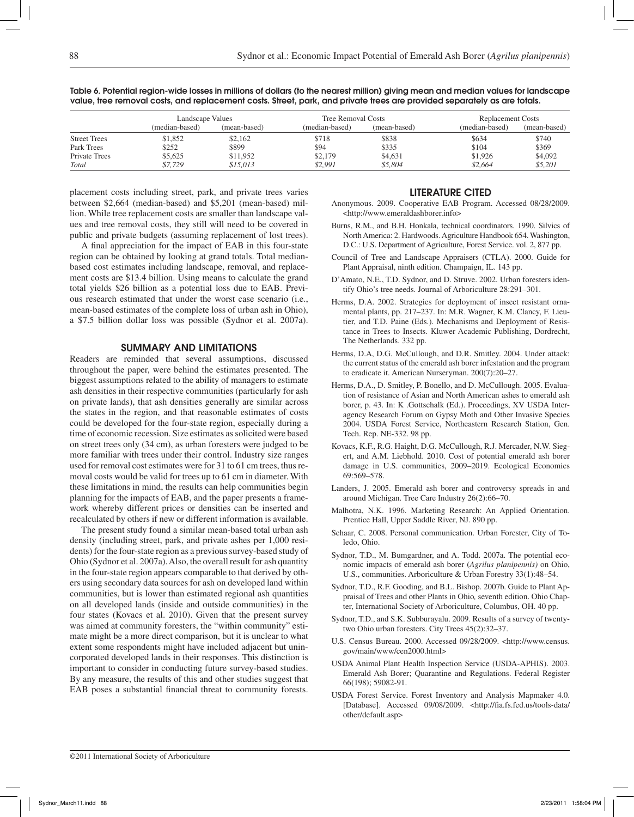|                     | Landscape Values |              | <b>Tree Removal Costs</b> |              | <b>Replacement Costs</b> |              |
|---------------------|------------------|--------------|---------------------------|--------------|--------------------------|--------------|
|                     | (median-based)   | (mean-based) | (median-based)            | (mean-based) | (median-based)           | (mean-based) |
| <b>Street Trees</b> | \$1,852          | \$2,162      | \$718                     | \$838        | \$634                    | \$740        |
| Park Trees          | \$252            | \$899        | \$94                      | \$335        | \$104                    | \$369        |
| Private Trees       | \$5,625          | \$11,952     | \$2,179                   | \$4,631      | \$1,926                  | \$4,092      |
| Total               | \$7.729          | \$15.013     | \$2.991                   | \$5,804      | \$2,664                  | \$5,201      |

Table 6. Potential region-wide losses in millions of dollars (to the nearest million) giving mean and median values for landscape value, tree removal costs, and replacement costs. Street, park, and private trees are provided separately as are totals.

placement costs including street, park, and private trees varies between \$2,664 (median-based) and \$5,201 (mean-based) million. While tree replacement costs are smaller than landscape values and tree removal costs, they still will need to be covered in public and private budgets (assuming replacement of lost trees).

A final appreciation for the impact of EAB in this four-state region can be obtained by looking at grand totals. Total medianbased cost estimates including landscape, removal, and replacement costs are \$13.4 billion. Using means to calculate the grand total yields \$26 billion as a potential loss due to EAB. Previous research estimated that under the worst case scenario (i.e., mean-based estimates of the complete loss of urban ash in Ohio), a \$7.5 billion dollar loss was possible (Sydnor et al. 2007a).

## Summary and Limitations

Readers are reminded that several assumptions, discussed throughout the paper, were behind the estimates presented. The biggest assumptions related to the ability of managers to estimate ash densities in their respective communities (particularly for ash on private lands), that ash densities generally are similar across the states in the region, and that reasonable estimates of costs could be developed for the four-state region, especially during a time of economic recession. Size estimates as solicited were based on street trees only (34 cm), as urban foresters were judged to be more familiar with trees under their control. Industry size ranges used for removal cost estimates were for 31 to 61 cm trees, thus removal costs would be valid for trees up to 61 cm in diameter. With these limitations in mind, the results can help communities begin planning for the impacts of EAB, and the paper presents a framework whereby different prices or densities can be inserted and recalculated by others if new or different information is available.

The present study found a similar mean-based total urban ash density (including street, park, and private ashes per 1,000 residents) for the four-state region as a previous survey-based study of Ohio (Sydnor et al. 2007a). Also, the overall result for ash quantity in the four-state region appears comparable to that derived by others using secondary data sources for ash on developed land within communities, but is lower than estimated regional ash quantities on all developed lands (inside and outside communities) in the four states (Kovacs et al. 2010). Given that the present survey was aimed at community foresters, the "within community" estimate might be a more direct comparison, but it is unclear to what extent some respondents might have included adjacent but unincorporated developed lands in their responses. This distinction is important to consider in conducting future survey-based studies. By any measure, the results of this and other studies suggest that EAB poses a substantial financial threat to community forests.

## Literature Cited

- Anonymous. 2009. Cooperative EAB Program. Accessed 08/28/2009. <http://www.emeraldashborer.info>
- Burns, R.M., and B.H. Honkala, technical coordinators. 1990. Silvics of North America: 2. Hardwoods. Agriculture Handbook 654. Washington, D.C.: U.S. Department of Agriculture, Forest Service. vol. 2, 877 pp.
- Council of Tree and Landscape Appraisers (CTLA). 2000. Guide for Plant Appraisal, ninth edition. Champaign, IL. 143 pp.
- D'Amato, N.E., T.D. Sydnor, and D. Struve. 2002. Urban foresters identify Ohio's tree needs. Journal of Arboriculture 28:291–301.
- Herms, D.A. 2002. Strategies for deployment of insect resistant ornamental plants, pp. 217–237. In: M.R. Wagner, K.M. Clancy, F. Lieutier, and T.D. Paine (Eds.). Mechanisms and Deployment of Resistance in Trees to Insects. Kluwer Academic Publishing, Dordrecht, The Netherlands. 332 pp.
- Herms, D.A, D.G. McCullough, and D.R. Smitley. 2004. Under attack: the current status of the emerald ash borer infestation and the program to eradicate it. American Nurseryman. 200(7):20–27.
- Herms, D.A., D. Smitley, P. Bonello, and D. McCullough. 2005. Evaluation of resistance of Asian and North American ashes to emerald ash borer, p. 43. In: K .Gottschalk (Ed.). Proceedings, XV USDA Interagency Research Forum on Gypsy Moth and Other Invasive Species 2004. USDA Forest Service, Northeastern Research Station, Gen. Tech. Rep. NE-332. 98 pp.
- Kovacs, K.F., R.G. Haight, D.G. McCullough, R.J. Mercader, N.W. Siegert, and A.M. Liebhold. 2010. Cost of potential emerald ash borer damage in U.S. communities, 2009–2019. Ecological Economics 69:569–578.
- Landers, J. 2005. Emerald ash borer and controversy spreads in and around Michigan. Tree Care Industry 26(2):66–70.
- Malhotra, N.K. 1996. Marketing Research: An Applied Orientation. Prentice Hall, Upper Saddle River, NJ. 890 pp.
- Schaar, C. 2008. Personal communication. Urban Forester, City of Toledo, Ohio.
- Sydnor, T.D., M. Bumgardner, and A. Todd. 2007a. The potential economic impacts of emerald ash borer (*Agrilus planipennis)* on Ohio, U.S., communities. Arboriculture & Urban Forestry 33(1):48–54.
- Sydnor, T.D., R.F. Gooding, and B.L. Bishop. 2007b. Guide to Plant Appraisal of Trees and other Plants in Ohio*,* seventh edition. Ohio Chapter, International Society of Arboriculture, Columbus, OH. 40 pp.
- Sydnor, T.D., and S.K. Subburayalu. 2009. Results of a survey of twentytwo Ohio urban foresters. City Trees 45(2):32–37.
- U.S. Census Bureau. 2000. Accessed 09/28/2009. <http://www.census. gov/main/www/cen2000.html>
- USDA Animal Plant Health Inspection Service (USDA-APHIS). 2003. Emerald Ash Borer; Quarantine and Regulations. Federal Register 66(198); 59082-91.
- USDA Forest Service. Forest Inventory and Analysis Mapmaker 4.0. [Database]. Accessed 09/08/2009. <http://fia.fs.fed.us/tools-data/ other/default.asp>

©2011 International Society of Arboriculture